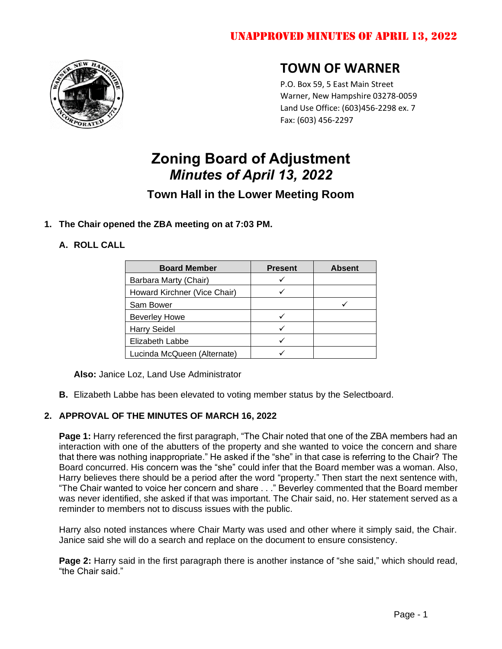

## **TOWN OF WARNER**

P.O. Box 59, 5 East Main Street Warner, New Hampshire 03278-0059 Land Use Office: (603)456-2298 ex. 7 Fax: (603) 456-2297

# **Zoning Board of Adjustment**  *Minutes of April 13, 2022*

## **Town Hall in the Lower Meeting Room**

## **1. The Chair opened the ZBA meeting on at 7:03 PM.**

## **A. ROLL CALL**

| <b>Board Member</b>          | <b>Present</b> | <b>Absent</b> |
|------------------------------|----------------|---------------|
| Barbara Marty (Chair)        |                |               |
| Howard Kirchner (Vice Chair) |                |               |
| Sam Bower                    |                |               |
| <b>Beverley Howe</b>         |                |               |
| <b>Harry Seidel</b>          |                |               |
| Elizabeth Labbe              |                |               |
| Lucinda McQueen (Alternate)  |                |               |

**Also:** Janice Loz, Land Use Administrator

**B.** Elizabeth Labbe has been elevated to voting member status by the Selectboard.

## **2. APPROVAL OF THE MINUTES OF MARCH 16, 2022**

**Page 1:** Harry referenced the first paragraph, "The Chair noted that one of the ZBA members had an interaction with one of the abutters of the property and she wanted to voice the concern and share that there was nothing inappropriate." He asked if the "she" in that case is referring to the Chair? The Board concurred. His concern was the "she" could infer that the Board member was a woman. Also, Harry believes there should be a period after the word "property." Then start the next sentence with, "The Chair wanted to voice her concern and share . . ." Beverley commented that the Board member was never identified, she asked if that was important. The Chair said, no. Her statement served as a reminder to members not to discuss issues with the public.

Harry also noted instances where Chair Marty was used and other where it simply said, the Chair. Janice said she will do a search and replace on the document to ensure consistency.

**Page 2:** Harry said in the first paragraph there is another instance of "she said," which should read, "the Chair said."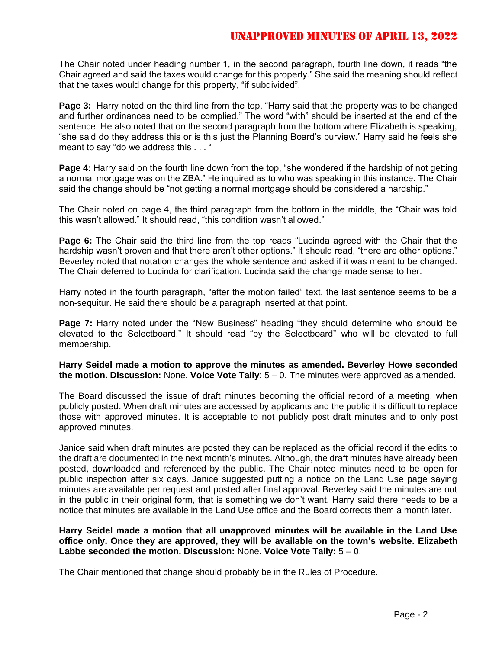## Unapproved Minutes of April 13, 2022

The Chair noted under heading number 1, in the second paragraph, fourth line down, it reads "the Chair agreed and said the taxes would change for this property." She said the meaning should reflect that the taxes would change for this property, "if subdivided".

**Page 3:** Harry noted on the third line from the top, "Harry said that the property was to be changed and further ordinances need to be complied." The word "with" should be inserted at the end of the sentence. He also noted that on the second paragraph from the bottom where Elizabeth is speaking, "she said do they address this or is this just the Planning Board's purview." Harry said he feels she meant to say "do we address this . . . "

**Page 4:** Harry said on the fourth line down from the top, "she wondered if the hardship of not getting a normal mortgage was on the ZBA." He inquired as to who was speaking in this instance. The Chair said the change should be "not getting a normal mortgage should be considered a hardship."

The Chair noted on page 4, the third paragraph from the bottom in the middle, the "Chair was told this wasn't allowed." It should read, "this condition wasn't allowed."

**Page 6:** The Chair said the third line from the top reads "Lucinda agreed with the Chair that the hardship wasn't proven and that there aren't other options." It should read, "there are other options." Beverley noted that notation changes the whole sentence and asked if it was meant to be changed. The Chair deferred to Lucinda for clarification. Lucinda said the change made sense to her.

Harry noted in the fourth paragraph, "after the motion failed" text, the last sentence seems to be a non-sequitur. He said there should be a paragraph inserted at that point.

**Page 7:** Harry noted under the "New Business" heading "they should determine who should be elevated to the Selectboard." It should read "by the Selectboard" who will be elevated to full membership.

**Harry Seidel made a motion to approve the minutes as amended. Beverley Howe seconded the motion. Discussion:** None. **Voice Vote Tally**: 5 – 0. The minutes were approved as amended.

The Board discussed the issue of draft minutes becoming the official record of a meeting, when publicly posted. When draft minutes are accessed by applicants and the public it is difficult to replace those with approved minutes. It is acceptable to not publicly post draft minutes and to only post approved minutes.

Janice said when draft minutes are posted they can be replaced as the official record if the edits to the draft are documented in the next month's minutes. Although, the draft minutes have already been posted, downloaded and referenced by the public. The Chair noted minutes need to be open for public inspection after six days. Janice suggested putting a notice on the Land Use page saying minutes are available per request and posted after final approval. Beverley said the minutes are out in the public in their original form, that is something we don't want. Harry said there needs to be a notice that minutes are available in the Land Use office and the Board corrects them a month later.

**Harry Seidel made a motion that all unapproved minutes will be available in the Land Use office only. Once they are approved, they will be available on the town's website. Elizabeth Labbe seconded the motion. Discussion:** None. **Voice Vote Tally:** 5 – 0.

The Chair mentioned that change should probably be in the Rules of Procedure.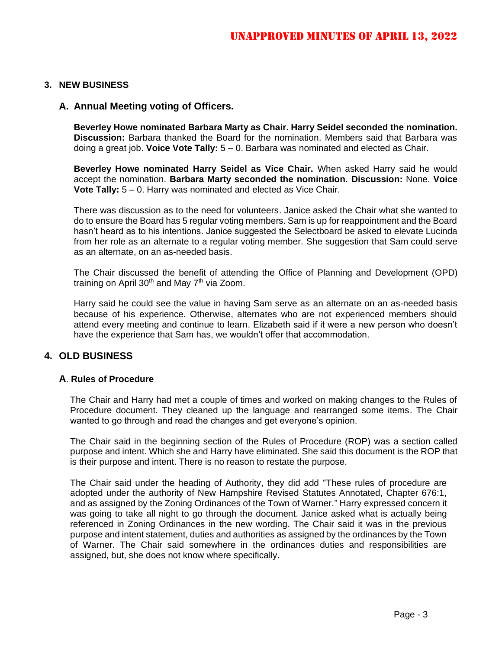#### **3. NEW BUSINESS**

#### **A. Annual Meeting voting of Officers.**

**Beverley Howe nominated Barbara Marty as Chair. Harry Seidel seconded the nomination. Discussion:** Barbara thanked the Board for the nomination. Members said that Barbara was doing a great job. **Voice Vote Tally:** 5 – 0. Barbara was nominated and elected as Chair.

**Beverley Howe nominated Harry Seidel as Vice Chair.** When asked Harry said he would accept the nomination. **Barbara Marty seconded the nomination. Discussion:** None. **Voice Vote Tally:** 5 – 0. Harry was nominated and elected as Vice Chair.

There was discussion as to the need for volunteers. Janice asked the Chair what she wanted to do to ensure the Board has 5 regular voting members. Sam is up for reappointment and the Board hasn't heard as to his intentions. Janice suggested the Selectboard be asked to elevate Lucinda from her role as an alternate to a regular voting member. She suggestion that Sam could serve as an alternate, on an as-needed basis.

The Chair discussed the benefit of attending the Office of Planning and Development (OPD) training on April 30<sup>th</sup> and May  $7<sup>th</sup>$  via Zoom.

Harry said he could see the value in having Sam serve as an alternate on an as-needed basis because of his experience. Otherwise, alternates who are not experienced members should attend every meeting and continue to learn. Elizabeth said if it were a new person who doesn't have the experience that Sam has, we wouldn't offer that accommodation.

#### **4. OLD BUSINESS**

#### **A**. **Rules of Procedure**

The Chair and Harry had met a couple of times and worked on making changes to the Rules of Procedure document. They cleaned up the language and rearranged some items. The Chair wanted to go through and read the changes and get everyone's opinion.

The Chair said in the beginning section of the Rules of Procedure (ROP) was a section called purpose and intent. Which she and Harry have eliminated. She said this document is the ROP that is their purpose and intent. There is no reason to restate the purpose.

The Chair said under the heading of Authority, they did add "These rules of procedure are adopted under the authority of New Hampshire Revised Statutes Annotated, Chapter 676:1, and as assigned by the Zoning Ordinances of the Town of Warner." Harry expressed concern it was going to take all night to go through the document. Janice asked what is actually being referenced in Zoning Ordinances in the new wording. The Chair said it was in the previous purpose and intent statement, duties and authorities as assigned by the ordinances by the Town of Warner. The Chair said somewhere in the ordinances duties and responsibilities are assigned, but, she does not know where specifically.